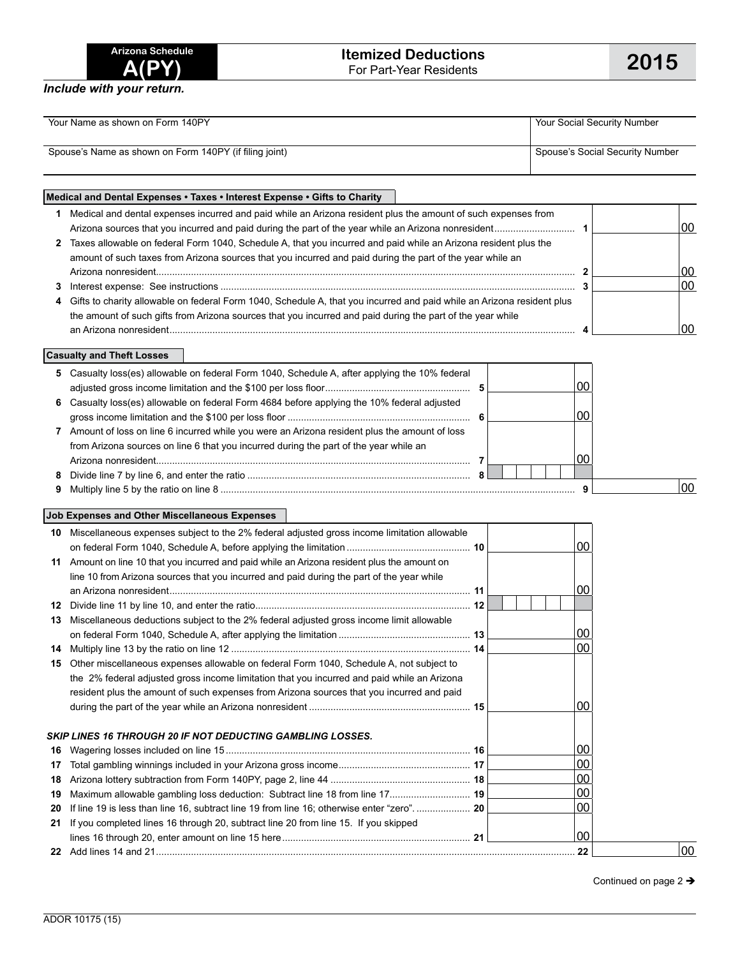| Arizona Schedule |       |  |
|------------------|-------|--|
|                  | A(PY) |  |

*Include with your return.*

| Your Name as shown on Form 140PY                       | Your Social Security Number     |  |  |  |  |
|--------------------------------------------------------|---------------------------------|--|--|--|--|
|                                                        |                                 |  |  |  |  |
| Spouse's Name as shown on Form 140PY (if filing joint) | Spouse's Social Security Number |  |  |  |  |
|                                                        |                                 |  |  |  |  |

## **Medical and Dental Expenses • Taxes • Interest Expense • Gifts to Charity 1** Medical and dental expenses incurred and paid while an Arizona resident plus the amount of such expenses from Arizona sources that you incurred and paid during the part of the year while an Arizona nonresident.............................. **1** 00 **2** Taxes allowable on federal Form 1040, Schedule A, that you incurred and paid while an Arizona resident plus the amount of such taxes from Arizona sources that you incurred and paid during the part of the year while an Arizona nonresident............................................................................................................................................................ **2** 00 **3** Interest expense: See instructions .................................................................................................................................... **3** 00 **4** Gifts to charity allowable on federal Form 1040, Schedule A, that you incurred and paid while an Arizona resident plus the amount of such gifts from Arizona sources that you incurred and paid during the part of the year while an Arizona nonresident....................................................................................................................................................... **4** 00

**Casualty and Theft Losses**

|    | 5 Casualty loss(es) allowable on federal Form 1040, Schedule A, after applying the 10% federal |  |                 |
|----|------------------------------------------------------------------------------------------------|--|-----------------|
|    |                                                                                                |  |                 |
|    | 6 Casualty loss(es) allowable on federal Form 4684 before applying the 10% federal adjusted    |  |                 |
|    |                                                                                                |  |                 |
| 7  | Amount of loss on line 6 incurred while you were an Arizona resident plus the amount of loss   |  |                 |
|    | from Arizona sources on line 6 that you incurred during the part of the year while an          |  |                 |
|    |                                                                                                |  |                 |
| 8. |                                                                                                |  |                 |
|    |                                                                                                |  | 00 <sup>1</sup> |

## **Job Expenses and Other Miscellaneous Expenses**

| 10. | Miscellaneous expenses subject to the 2% federal adjusted gross income limitation allowable |  |  |                 |    |
|-----|---------------------------------------------------------------------------------------------|--|--|-----------------|----|
|     |                                                                                             |  |  | 00              |    |
| 11  | Amount on line 10 that you incurred and paid while an Arizona resident plus the amount on   |  |  |                 |    |
|     | line 10 from Arizona sources that you incurred and paid during the part of the year while   |  |  |                 |    |
|     |                                                                                             |  |  | 00              |    |
| 12  |                                                                                             |  |  |                 |    |
| 13  | Miscellaneous deductions subject to the 2% federal adjusted gross income limit allowable    |  |  |                 |    |
|     |                                                                                             |  |  | 00 <sup>1</sup> |    |
| 14  |                                                                                             |  |  | 00 <sup>1</sup> |    |
| 15  | Other miscellaneous expenses allowable on federal Form 1040, Schedule A, not subject to     |  |  |                 |    |
|     | the 2% federal adjusted gross income limitation that you incurred and paid while an Arizona |  |  |                 |    |
|     | resident plus the amount of such expenses from Arizona sources that you incurred and paid   |  |  |                 |    |
|     |                                                                                             |  |  | 00              |    |
|     |                                                                                             |  |  |                 |    |
|     | <b>SKIP LINES 16 THROUGH 20 IF NOT DEDUCTING GAMBLING LOSSES.</b>                           |  |  |                 |    |
| 16  |                                                                                             |  |  | 00              |    |
| 17  |                                                                                             |  |  | $00\,$          |    |
| 18  |                                                                                             |  |  | $00\,$          |    |
| 19  | Maximum allowable gambling loss deduction: Subtract line 18 from line 17 19                 |  |  | $00\,$          |    |
| 20  | If line 19 is less than line 16, subtract line 19 from line 16; otherwise enter "zero" 20   |  |  | $00\,$          |    |
| 21  | If you completed lines 16 through 20, subtract line 20 from line 15. If you skipped         |  |  |                 |    |
|     |                                                                                             |  |  | 00              |    |
|     |                                                                                             |  |  | . 22            | 00 |
|     |                                                                                             |  |  |                 |    |